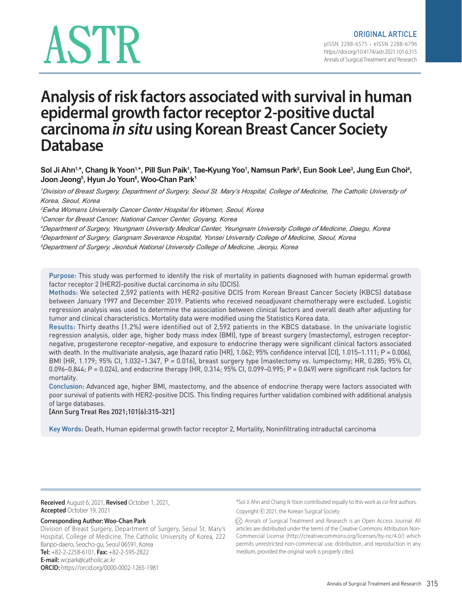# ASTR

# **Analysis of risk factors associated with survival in human epidermal growth factor receptor 2-positive ductal carcinoma in situ using Korean Breast Cancer Society Database**

Sol Ji Ahn1<sub>'</sub>\*, Chang Ik Yoon1<sub>'</sub>\*, Pill Sun Paik1, Tae-Kyung Yoo1, Namsun Park<sup>2</sup>, Eun Sook Lee<sup>3</sup>, Jung Eun Choi<del>1</del>, **Joon Jeong5 , Hyun Jo Youn6 , Woo-Chan Park1**

*<sup>1</sup>Division of Breast Surgery, Department of Surgery, Seoul St. Mary's Hospital, College of Medicine, The Catholic University of Korea, Seoul, Korea*

*<sup>2</sup>Ewha Womans University Cancer Center Hospital for Women, Seoul, Korea*

*<sup>3</sup>Cancer for Breast Cancer, National Cancer Center, Goyang, Korea*

*<sup>4</sup>Department of Surgery, Yeungnam University Medical Center, Yeungnam University College of Medicine, Daegu, Korea*

*<sup>5</sup>Department of Surgery, Gangnam Severance Hospital, Yonsei University College of Medicine, Seoul, Korea*

*<sup>6</sup>Department of Surgery, Jeonbuk National University College of Medicine, Jeonju, Korea*

Purpose: This study was performed to identify the risk of mortality in patients diagnosed with human epidermal growth factor receptor 2 (HER2)-positive ductal carcinoma in situ (DCIS).

Methods: We selected 2,592 patients with HER2-positive DCIS from Korean Breast Cancer Society (KBCS) database between January 1997 and December 2019. Patients who received neoadjuvant chemotherapy were excluded. Logistic regression analysis was used to determine the association between clinical factors and overall death after adjusting for tumor and clinical characteristics. Mortality data were modified using the Statistics Korea data.

Results: Thirty deaths (1.2%) were identified out of 2,592 patients in the KBCS database. In the univariate logistic regression analysis, older age, higher body mass index (BMI), type of breast surgery (mastectomy), estrogen receptornegative, progesterone receptor-negative, and exposure to endocrine therapy were significant clinical factors associated with death. In the multivariate analysis, age (hazard ratio [HR], 1.062; 95% confidence interval [CI], 1.015–1.111; P = 0.006), BMI (HR, 1.179; 95% CI, 1.032–1.347, P = 0.016), breast surgery type (mastectomy vs. lumpectomy; HR, 0.285; 95% CI, 0.096–0.844; P = 0.024), and endocrine therapy (HR, 0.314; 95% CI, 0.099–0.995; P = 0.049) were significant risk factors for mortality.

Conclusion: Advanced age, higher BMI, mastectomy, and the absence of endocrine therapy were factors associated with poor survival of patients with HER2-positive DCIS. This finding requires further validation combined with additional analysis of large databases.

[Ann Surg Treat Res 2021;101(6):315-321]

Key Words: Death, Human epidermal growth factor receptor 2, Mortality, Noninfiltrating intraductal carcinoma

**Received** August 6, 2021, **Revised** October 1, 2021, **Accepted** October 19, 2021

#### **Corresponding Author: Woo-Chan Park**

Division of Breast Surgery, Department of Surgery, Seoul St. Mary's Hospital, College of Medicine, The Catholic University of Korea, 222 Banpo-daero, Seocho-gu, Seoul 06591, Korea **Tel:** +82-2-2258-6101, **Fax:** +82-2-595-2822 **E-mail:** wcpark@catholic.ac.kr **ORCID:** https://orcid.org/0000-0002-1265-1981

\*Sol Ji Ahn and Chang Ik Yoon contributed equally to this work as co-first authors. Copyright ⓒ 2021, the Korean Surgical Society

(cc) Annals of Surgical Treatment and Research is an Open Access Journal. All articles are distributed under the terms of the Creative Commons Attribution Non-Commercial License (http://creativecommons.org/licenses/by-nc/4.0/) which permits unrestricted non-commercial use, distribution, and reproduction in any medium, provided the original work is properly cited.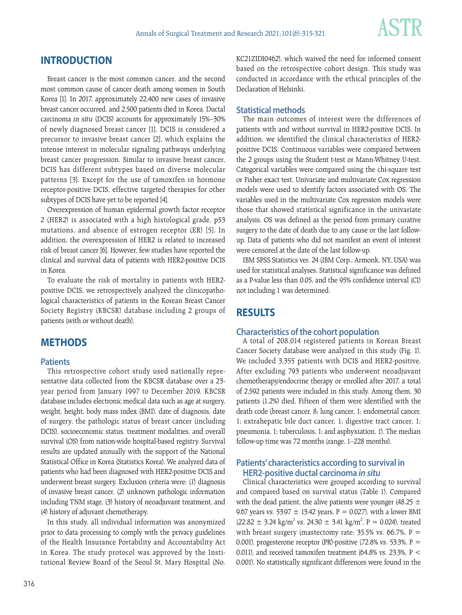

# **INTRODUCTION**

Breast cancer is the most common cancer, and the second most common cause of cancer death among women in South Korea [1]. In 2017, approximately 22,400 new cases of invasive breast cancer occurred, and 2,500 patients died in Korea. Ductal carcinoma in situ (DCIS) accounts for approximately 15%–30% of newly diagnosed breast cancer [1]. DCIS is considered a precursor to invasive breast cancer [2], which explains the intense interest in molecular signaling pathways underlying breast cancer progression. Similar to invasive breast cancer, DCIS has different subtypes based on diverse molecular patterns [3]. Except for the use of tamoxifen in hormone receptor-positive DCIS, effective targeted therapies for other subtypes of DCIS have yet to be reported [4].

Overexpression of human epidermal growth factor receptor 2 (HER2) is associated with a high histological grade, p53 mutations, and absence of estrogen receptor (ER) [5]. In addition, the overexpression of HER2 is related to increased risk of breast cancer [6]. However, few studies have reported the clinical and survival data of patients with HER2-positive DCIS in Korea.

To evaluate the risk of mortality in patients with HER2 positive DCIS, we retrospectively analyzed the clinicopathological characteristics of patients in the Korean Breast Cancer Society Registry (KBCSR) database including 2 groups of patients (with or without death).

#### **METHODS**

#### **Patients**

This retrospective cohort study used nationally representative data collected from the KBCSR database over a 23 year period from January 1997 to December 2019. KBCSR database includes electronic medical data such as age at surgery, weight, height, body mass index (BMI), date of diagnosis, date of surgery, the pathologic status of breast cancer (including DCIS), socioeconomic status, treatment modalities, and overall survival (OS) from nation-wide hospital-based registry. Survival results are updated annually with the support of the National Statistical Office in Korea (Statistics Korea). We analyzed data of patients who had been diagnosed with HER2-positive DCIS and underwent breast surgery. Exclusion criteria were: (1) diagnosis of invasive breast cancer, (2) unknown pathologic information including TNM stage, (3) history of neoadjuvant treatment, and (4) history of adjuvant chemotherapy.

In this study, all individual information was anonymized prior to data processing to comply with the privacy guidelines of the Health Insurance Portability and Accountability Act in Korea. The study protocol was approved by the Institutional Review Board of the Seoul St. Mary Hospital (No. KC21ZIDI0462), which waived the need for informed consent based on the retrospective cohort design. This study was conducted in accordance with the ethical principles of the Declaration of Helsinki.

#### **Statistical methods**

The main outcomes of interest were the differences of patients with and without survival in HER2-positive DCIS. In addition, we identified the clinical characteristics of HER2 positive DCIS. Continuous variables were compared between the 2 groups using the Student t-test or Mann-Whitney U-test. Categorical variables were compared using the chi-square test or Fisher exact test. Univariate and multivariate Cox regression models were used to identify factors associated with OS. The variables used in the multivariate Cox regression models were those that showed statistical significance in the univariate analysis. OS was defined as the period from primary curative surgery to the date of death due to any cause or the last followup. Data of patients who did not manifest an event of interest were censored at the date of the last follow-up.

IBM SPSS Statistics ver. 24 (IBM Corp., Armonk, NY, USA) was used for statistical analyses. Statistical significance was defined as a P-value less than 0.05, and the 95% confidence interval (CI) not including 1 was determined.

### **RESULTS**

#### **Characteristics of the cohort population**

A total of 208,014 registered patients in Korean Breast Cancer Society database were analyzed in this study (Fig. 1). We included 3,355 patients with DCIS and HER2-positive. After excluding 793 patients who underwent neoadjuvant chemotherapy/endocrine therapy or enrolled after 2017, a total of 2,592 patients were included in this study. Among them, 30 patients (1.2%) died. Fifteen of them were identified with the death code (breast cancer, 8; lung cancer, 1; endometrial cancer, 1; extrahepatic bile duct cancer, 1; digestive tract cancer, 1; pneumonia, 1; tuberculosis, 1; and asphyxiation, 1). The median follow-up time was 72 months (range, 1–228 months).

#### **Patients' characteristics according to survival in HER2-positive ductal carcinoma in situ**

Clinical characteristics were grouped according to survival and compared based on survival status (Table 1). Compared with the dead patient, the alive patients were younger (48.25  $\pm$ 9.67 years vs. 53.97  $\pm$  13.42 years, P = 0.027), with a lower BMI  $(22.82 \pm 3.24 \text{ kg/m}^2 \text{ vs. } 24.30 \pm 3.41 \text{ kg/m}^2 \text{, P} = 0.024)$ , treated with breast surgery (mastectomy rate; 35.5% vs. 66.7%,  $P =$ 0.001), progesterone receptor (PR)-positive (72.8% vs. 53.3%, P = 0.011), and received tamoxifen treatment (64.8% vs. 23.3%,  $P <$ 0.001). No statistically significant differences were found in the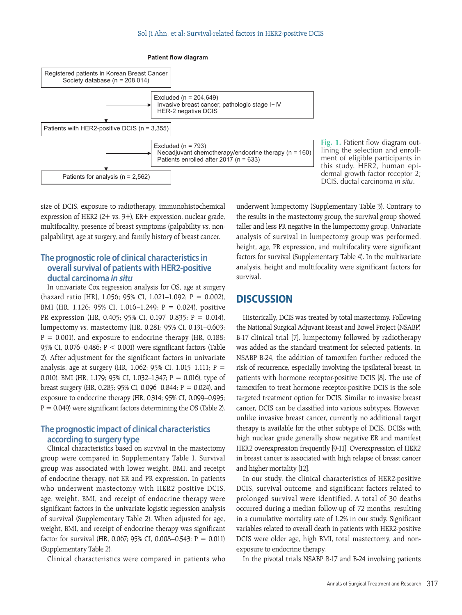

**Fig. 1.** Patient flow diagram outlining the selection and enrollment of eligible participants in this study. HER2, human epidermal growth factor receptor 2; DCIS, ductal carcinoma in situ.

size of DCIS, exposure to radiotherapy, immunohistochemical expression of HER2 (2+ vs. 3+), ER+ expression, nuclear grade, multifocality, presence of breast symptoms (palpability vs. nonpalpability), age at surgery, and family history of breast cancer.

#### **The prognostic role of clinical characteristics in overall survival of patients with HER2-positive ductal carcinoma in situ**

In univariate Cox regression analysis for OS, age at surgery (hazard ratio [HR], 1.056; 95% CI, 1.021–1.092; P = 0.002), BMI (HR, 1.126; 95% CI, 1.016–1.249; P = 0.024), positive PR expression (HR, 0.405; 95% CI, 0.197–0.835; P = 0.014), lumpectomy vs. mastectomy (HR, 0.281; 95% CI, 0.131–0.603;  $P = 0.001$ ), and exposure to endocrine therapy (HR, 0.188; 95% CI, 0.076–0.486; P < 0.001) were significant factors (Table 2). After adjustment for the significant factors in univariate analysis, age at surgery (HR, 1.062; 95% CI, 1.015-1.111;  $P =$ 0.010), BMI (HR, 1.179; 95% CI, 1.032–1.347; P = 0.016), type of breast surgery (HR, 0.285; 95% CI, 0.096–0.844;  $P = 0.024$ ), and exposure to endocrine therapy (HR, 0.314; 95% CI, 0.099–0.995;  $P = 0.049$ ) were significant factors determining the OS (Table 2).

#### **The prognostic impact of clinical characteristics according to surgery type**

Clinical characteristics based on survival in the mastectomy group were compared in Supplementary Table 1. Survival group was associated with lower weight, BMI, and receipt of endocrine therapy, not ER and PR expression. In patients who underwent mastectomy with HER2 positive DCIS, age, weight, BMI, and receipt of endocrine therapy were significant factors in the univariate logistic regression analysis of survival (Supplementary Table 2). When adjusted for age, weight, BMI, and receipt of endocrine therapy was significant factor for survival (HR, 0.067; 95% CI, 0.008–0.543; P = 0.011) (Supplementary Table 2).

Clinical characteristics were compared in patients who

underwent lumpectomy (Supplementary Table 3). Contrary to the results in the mastectomy group, the survival group showed taller and less PR negative in the lumpectomy group. Univariate analysis of survival in lumpectomy group was performed, height, age, PR expression, and multifocality were significant factors for survival (Supplementary Table 4). In the multivariate analysis, height and multifocality were significant factors for survival.

# **DISCUSSION**

Historically, DCIS was treated by total mastectomy. Following the National Surgical Adjuvant Breast and Bowel Project (NSABP) B-17 clinical trial [7], lumpectomy followed by radiotherapy was added as the standard treatment for selected patients. In NSABP B-24, the addition of tamoxifen further reduced the risk of recurrence, especially involving the ipsilateral breast, in patients with hormone receptor-positive DCIS [8]. The use of tamoxifen to treat hormone receptor-positive DCIS is the sole targeted treatment option for DCIS. Similar to invasive breast cancer, DCIS can be classified into various subtypes. However, unlike invasive breast cancer, currently no additional target therapy is available for the other subtype of DCIS. DCISs with high nuclear grade generally show negative ER and manifest HER2 overexpression frequently [9-11]. Overexpression of HER2 in breast cancer is associated with high relapse of breast cancer and higher mortality [12].

In our study, the clinical characteristics of HER2-positive DCIS, survival outcome, and significant factors related to prolonged survival were identified. A total of 30 deaths occurred during a median follow-up of 72 months, resulting in a cumulative mortality rate of 1.2% in our study. Significant variables related to overall death in patients with HER2-positive DCIS were older age, high BMI, total mastectomy, and nonexposure to endocrine therapy.

In the pivotal trials NSABP B-17 and B-24 involving patients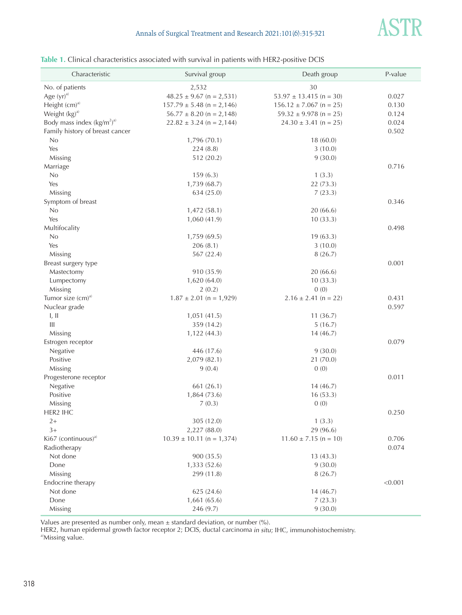

#### **Table 1.** Clinical characteristics associated with survival in patients with HER2-positive DCIS

| Characteristic                  | Survival group                | Death group                 | P-value |
|---------------------------------|-------------------------------|-----------------------------|---------|
| No. of patients                 | 2,532                         | 30                          |         |
| Age $(yr)^{a}$                  | $48.25 \pm 9.67$ (n = 2,531)  | $53.97 \pm 13.415$ (n = 30) | 0.027   |
| Height (cm) <sup>a)</sup>       | $157.79 \pm 5.48$ (n = 2,146) | $156.12 \pm 7.067$ (n = 25) | 0.130   |
| Weight (kg) <sup>a)</sup>       | $56.77 \pm 8.20$ (n = 2,148)  | $59.32 \pm 9.978$ (n = 25)  | 0.124   |
| Body mass index $(kg/m2)a)$     | $22.82 \pm 3.24$ (n = 2,144)  | $24.30 \pm 3.41$ (n = 25)   | 0.024   |
| Family history of breast cancer |                               |                             | 0.502   |
| No                              | 1,796 (70.1)                  | 18(60.0)                    |         |
| Yes                             | 224(8.8)                      | 3(10.0)                     |         |
| Missing                         | 512 (20.2)                    | 9(30.0)                     |         |
| Marriage                        |                               |                             | 0.716   |
| No                              | 159(6.3)                      | 1(3.3)                      |         |
| Yes                             | 1,739 (68.7)                  | 22 (73.3)                   |         |
| Missing                         | 634 (25.0)                    | 7(23.3)                     |         |
| Symptom of breast               |                               |                             | 0.346   |
| No                              | 1,472 (58.1)                  | 20(66.6)                    |         |
| Yes                             | 1,060 (41.9)                  | 10(33.3)                    |         |
| Multifocality                   |                               |                             | 0.498   |
| No                              | 1,759 (69.5)                  | 19(63.3)                    |         |
| Yes                             | 206(8.1)                      | 3(10.0)                     |         |
| Missing                         | 567 (22.4)                    | 8(26.7)                     |         |
| Breast surgery type             |                               |                             | 0.001   |
| Mastectomy                      | 910 (35.9)                    | 20(66.6)                    |         |
| Lumpectomy                      | 1,620 (64.0)                  | 10(33.3)                    |         |
| Missing                         | 2(0.2)                        | 0(0)                        |         |
| Tumor size $(cm)^a$             | $1.87 \pm 2.01$ (n = 1,929)   | $2.16 \pm 2.41$ (n = 22)    | 0.431   |
| Nuclear grade                   |                               |                             | 0.597   |
| I, II                           | 1,051 (41.5)                  | 11(36.7)                    |         |
| Ш                               | 359 (14.2)                    | 5(16.7)                     |         |
| Missing                         | 1,122 (44.3)                  | 14(46.7)                    |         |
| Estrogen receptor               |                               |                             | 0.079   |
| Negative                        | 446 (17.6)                    | 9(30.0)                     |         |
| Positive                        | 2,079 (82.1)                  | 21 (70.0)                   |         |
| Missing                         | 9(0.4)                        | 0(0)                        |         |
| Progesterone receptor           |                               |                             | 0.011   |
| Negative                        | 661 (26.1)                    | 14(46.7)                    |         |
| Positive                        | 1,864 (73.6)                  | 16(53.3)                    |         |
| Missing                         | 7(0.3)                        | 0(0)                        |         |
| HER2 IHC                        |                               |                             | 0.250   |
| $2+$                            | 305 (12.0)                    | 1(3.3)                      |         |
| $3+$                            | 2,227 (88.0)                  | 29 (96.6)                   |         |
| Ki67 $(continuous)^{a}$         | $10.39 \pm 10.11$ (n = 1,374) | $11.60 \pm 7.15$ (n = 10)   | 0.706   |
| Radiotherapy                    |                               |                             | 0.074   |
| Not done                        | 900 (35.5)                    | 13(43.3)                    |         |
| Done                            | 1,333 (52.6)                  | 9(30.0)                     |         |
| Missing                         | 299 (11.8)                    | 8(26.7)                     |         |
| Endocrine therapy               |                               |                             | < 0.001 |
| Not done                        | 625 (24.6)                    | 14(46.7)                    |         |
| Done                            | 1,661(65.6)                   | 7(23.3)                     |         |
| Missing                         | 246 (9.7)                     | 9(30.0)                     |         |

Values are presented as number only, mean  $\pm$  standard deviation, or number (%).

HER2, human epidermal growth factor receptor 2; DCIS, ductal carcinoma in situ; IHC, immunohistochemistry.

a)Missing value.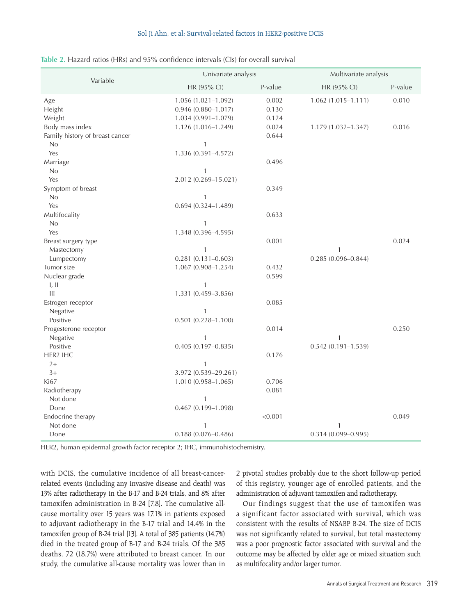| Table 2. Hazard ratios (HRs) and 95% confidence intervals (CIs) for overall survival |  |  |  |
|--------------------------------------------------------------------------------------|--|--|--|
|--------------------------------------------------------------------------------------|--|--|--|

| Variable                        | Univariate analysis    |         | Multivariate analysis  |         |
|---------------------------------|------------------------|---------|------------------------|---------|
|                                 | HR (95% CI)            | P-value | HR (95% CI)            | P-value |
| Age                             | $1.056(1.021 - 1.092)$ | 0.002   | $1.062(1.015 - 1.111)$ | 0.010   |
| Height                          | $0.946(0.880 - 1.017)$ | 0.130   |                        |         |
| Weight                          | 1.034 (0.991-1.079)    | 0.124   |                        |         |
| Body mass index                 | 1.126 (1.016-1.249)    | 0.024   | 1.179 (1.032-1.347)    | 0.016   |
| Family history of breast cancer |                        | 0.644   |                        |         |
| No                              | $\mathbf{1}$           |         |                        |         |
| Yes                             | 1.336 (0.391-4.572)    |         |                        |         |
| Marriage                        |                        | 0.496   |                        |         |
| No                              | $\mathbf{1}$           |         |                        |         |
| Yes                             | 2.012 (0.269-15.021)   |         |                        |         |
| Symptom of breast               |                        | 0.349   |                        |         |
| No                              | $\mathbf{1}$           |         |                        |         |
| Yes                             | $0.694(0.324 - 1.489)$ |         |                        |         |
| Multifocality                   |                        | 0.633   |                        |         |
| No                              | 1                      |         |                        |         |
| Yes                             | 1.348 (0.396-4.595)    |         |                        |         |
| Breast surgery type             |                        | 0.001   |                        | 0.024   |
| Mastectomy                      | $\mathbf{1}$           |         | $\mathbf{1}$           |         |
| Lumpectomy                      | $0.281(0.131 - 0.603)$ |         | $0.285(0.096 - 0.844)$ |         |
| Tumor size                      | 1.067 (0.908-1.254)    | 0.432   |                        |         |
| Nuclear grade                   |                        | 0.599   |                        |         |
| I, II                           | $\mathbf{1}$           |         |                        |         |
| III                             | 1.331 (0.459-3.856)    |         |                        |         |
| Estrogen receptor               |                        | 0.085   |                        |         |
| Negative                        | $\mathbf{1}$           |         |                        |         |
| Positive                        | $0.501(0.228 - 1.100)$ |         |                        |         |
| Progesterone receptor           |                        | 0.014   |                        | 0.250   |
| Negative                        | 1                      |         | 1                      |         |
| Positive                        | $0.405(0.197 - 0.835)$ |         | $0.542(0.191 - 1.539)$ |         |
| HER2 IHC                        |                        | 0.176   |                        |         |
| $2+$                            | 1                      |         |                        |         |
| $3+$                            | 3.972 (0.539-29.261)   |         |                        |         |
| Ki67                            | 1.010 (0.958-1.065)    | 0.706   |                        |         |
| Radiotherapy                    |                        | 0.081   |                        |         |
| Not done                        | $\mathbf{1}$           |         |                        |         |
| Done                            | $0.467(0.199 - 1.098)$ |         |                        |         |
| Endocrine therapy               |                        | < 0.001 |                        | 0.049   |
| Not done                        | 1                      |         | $\mathbf{1}$           |         |
| Done                            | $0.188(0.076 - 0.486)$ |         | $0.314(0.099 - 0.995)$ |         |

HER2, human epidermal growth factor receptor 2; IHC, immunohistochemistry.

with DCIS, the cumulative incidence of all breast-cancerrelated events (including any invasive disease and death) was 13% after radiotherapy in the B-17 and B-24 trials, and 8% after tamoxifen administration in B-24 [7,8]. The cumulative allcause mortality over 15 years was 17.1% in patients exposed to adjuvant radiotherapy in the B-17 trial and 14.4% in the tamoxifen group of B-24 trial [13]. A total of 385 patients (14.7%) died in the treated group of B-17 and B-24 trials. Of the 385 deaths, 72 (18.7%) were attributed to breast cancer. In our study, the cumulative all-cause mortality was lower than in 2 pivotal studies probably due to the short follow-up period of this registry, younger age of enrolled patients, and the administration of adjuvant tamoxifen and radiotherapy.

Our findings suggest that the use of tamoxifen was a significant factor associated with survival, which was consistent with the results of NSABP B-24. The size of DCIS was not significantly related to survival, but total mastectomy was a poor prognostic factor associated with survival and the outcome may be affected by older age or mixed situation such as multifocality and/or larger tumor.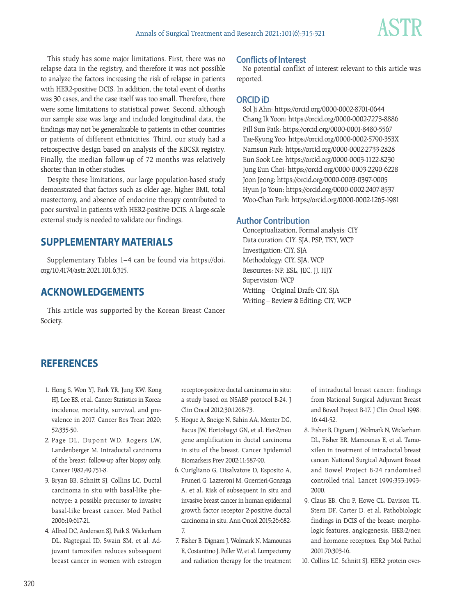

This study has some major limitations. First, there was no relapse data in the registry, and therefore it was not possible to analyze the factors increasing the risk of relapse in patients with HER2-positive DCIS. In addition, the total event of deaths was 30 cases, and the case itself was too small. Therefore, there were some limitations to statistical power. Second, although our sample size was large and included longitudinal data, the findings may not be generalizable to patients in other countries or patients of different ethnicities. Third, our study had a retrospective design based on analysis of the KBCSR registry. Finally, the median follow-up of 72 months was relatively shorter than in other studies.

Despite these limitations, our large population-based study demonstrated that factors such as older age, higher BMI, total mastectomy, and absence of endocrine therapy contributed to poor survival in patients with HER2-positive DCIS. A large-scale external study is needed to validate our findings.

# **SUPPLEMENTARY MATERIALS**

Supplementary Tables 1–4 can be found via https://doi. org/10.4174/astr.2021.101.6.315.

# **ACKNOWLEDGEMENTS**

This article was supported by the Korean Breast Cancer Society.

#### **Conflicts of Interest**

No potential conflict of interest relevant to this article was reported.

#### **ORCID iD**

Sol Ji Ahn: https://orcid.org/0000-0002-8701-0644 Chang Ik Yoon: https://orcid.org/0000-0002-7273-8886 Pill Sun Paik: https://orcid.org/0000-0001-8480-5567 Tae-Kyung Yoo: https://orcid.org/0000-0002-5790-353X Namsun Park: https://orcid.org/0000-0002-2733-2828 Eun Sook Lee: https://orcid.org/0000-0003-1122-8230 Jung Eun Choi: https://orcid.org/0000-0003-2290-6228 Joon Jeong: https://orcid.org/0000-0003-0397-0005 Hyun Jo Youn: https://orcid.org/0000-0002-2407-8537 Woo-Chan Park: https://orcid.org/0000-0002-1265-1981

#### **Author Contribution**

Conceptualization, Formal analysis: CIY Data curation: CIY, SJA, PSP, TKY, WCP Investigation: CIY, SJA Methodology: CIY, SJA, WCP Resources: NP, ESL, JEC, JJ, HJY Supervision: WCP Writing – Original Draft: CIY, SJA Writing – Review & Editing: CIY, WCP

# **REFERENCES**

- 1. Hong S, Won YJ, Park YR, Jung KW, Kong HJ, Lee ES, et al. Cancer Statistics in Korea: incidence, mortality, survival, and prevalence in 2017. Cancer Res Treat 2020; 52:335-50.
- 2. Page DL, Dupont WD, Rogers LW, Landenberger M. Intraductal carcinoma of the breast: follow-up after biopsy only. Cancer 1982;49:751-8.
- 3. Bryan BB, Schnitt SJ, Collins LC. Ductal carcinoma in situ with basal-like phenotype: a possible precursor to invasive basal-like breast cancer. Mod Pathol 2006;19:617-21.
- 4. Allred DC, Anderson SJ, Paik S, Wickerham DL, Nagtegaal ID, Swain SM, et al. Adjuvant tamoxifen reduces subsequent breast cancer in women with estrogen

receptor-positive ductal carcinoma in situ: a study based on NSABP protocol B-24. J Clin Oncol 2012;30:1268-73.

- 5. Hoque A, Sneige N, Sahin AA, Menter DG, Bacus JW, Hortobagyi GN, et al. Her-2/neu gene amplification in ductal carcinoma in situ of the breast. Cancer Epidemiol Biomarkers Prev 2002;11:587-90.
- 6. Curigliano G, Disalvatore D, Esposito A, Pruneri G, Lazzeroni M, Guerrieri-Gonzaga A, et al. Risk of subsequent in situ and invasive breast cancer in human epidermal growth factor receptor 2-positive ductal carcinoma in situ. Ann Oncol 2015;26:682- 7.
- 7. Fisher B, Dignam J, Wolmark N, Mamounas E, Costantino J, Poller W, et al. Lumpectomy and radiation therapy for the treatment

of intraductal breast cancer: findings from National Surgical Adjuvant Breast and Bowel Project B-17. J Clin Oncol 1998; 16:441-52.

- 8. Fisher B, Dignam J, Wolmark N, Wickerham DL, Fisher ER, Mamounas E, et al. Tamoxifen in treatment of intraductal breast cancer: National Surgical Adjuvant Breast and Bowel Project B-24 randomised controlled trial. Lancet 1999;353:1993- 2000.
- 9. Claus EB, Chu P, Howe CL, Davison TL, Stern DF, Carter D, et al. Pathobiologic findings in DCIS of the breast: morphologic features, angiogenesis, HER-2/neu and hormone receptors. Exp Mol Pathol 2001;70:303-16.
- 10. Collins LC, Schnitt SJ. HER2 protein over-